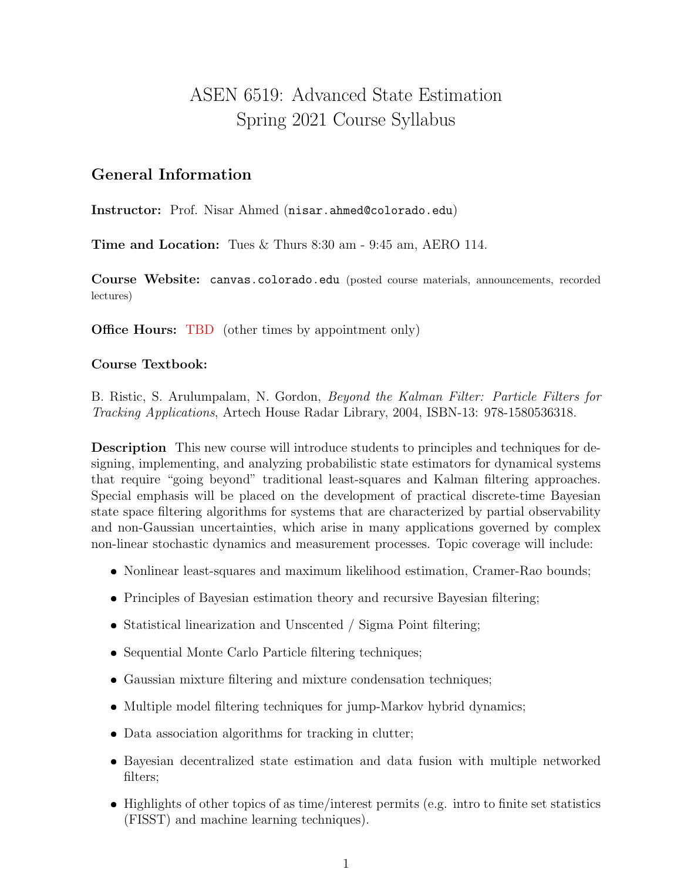# ASEN 6519: Advanced State Estimation Spring 2021 Course Syllabus

### General Information

Instructor: Prof. Nisar Ahmed (nisar.ahmed@colorado.edu)

Time and Location: Tues & Thurs 8:30 am - 9:45 am, AERO 114.

Course Website: canvas.colorado.edu (posted course materials, announcements, recorded lectures)

**Office Hours:** TBD (other times by appointment only)

#### Course Textbook:

B. Ristic, S. Arulumpalam, N. Gordon, Beyond the Kalman Filter: Particle Filters for Tracking Applications, Artech House Radar Library, 2004, ISBN-13: 978-1580536318.

Description This new course will introduce students to principles and techniques for designing, implementing, and analyzing probabilistic state estimators for dynamical systems that require "going beyond" traditional least-squares and Kalman filtering approaches. Special emphasis will be placed on the development of practical discrete-time Bayesian state space filtering algorithms for systems that are characterized by partial observability and non-Gaussian uncertainties, which arise in many applications governed by complex non-linear stochastic dynamics and measurement processes. Topic coverage will include:

- Nonlinear least-squares and maximum likelihood estimation, Cramer-Rao bounds;
- Principles of Bayesian estimation theory and recursive Bayesian filtering;
- Statistical linearization and Unscented / Sigma Point filtering;
- Sequential Monte Carlo Particle filtering techniques;
- Gaussian mixture filtering and mixture condensation techniques;
- Multiple model filtering techniques for jump-Markov hybrid dynamics;
- Data association algorithms for tracking in clutter;
- Bayesian decentralized state estimation and data fusion with multiple networked filters;
- Highlights of other topics of as time/interest permits (e.g. intro to finite set statistics (FISST) and machine learning techniques).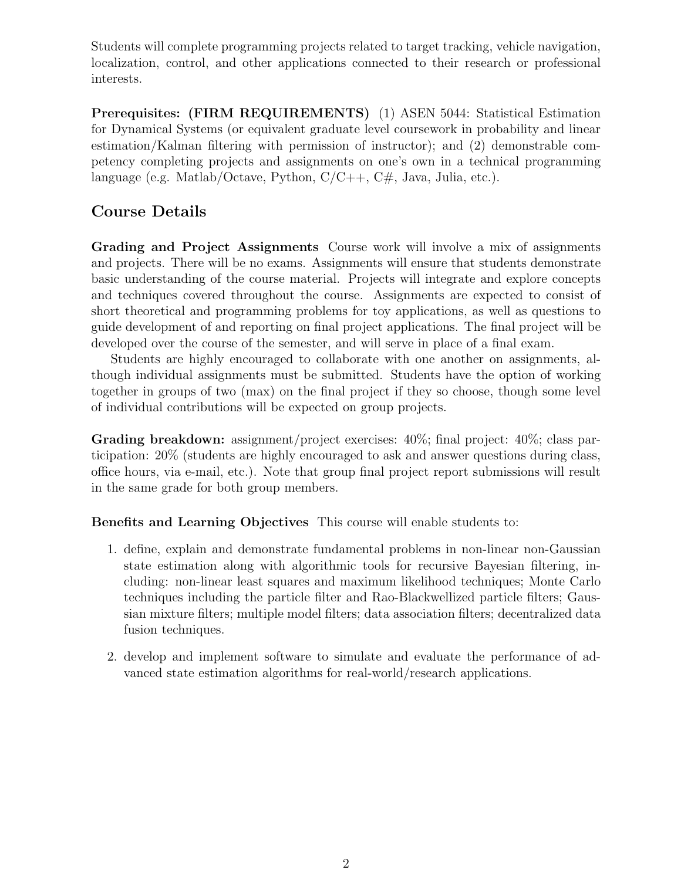Students will complete programming projects related to target tracking, vehicle navigation, localization, control, and other applications connected to their research or professional interests.

Prerequisites: (FIRM REQUIREMENTS) (1) ASEN 5044: Statistical Estimation for Dynamical Systems (or equivalent graduate level coursework in probability and linear estimation/Kalman filtering with permission of instructor); and (2) demonstrable competency completing projects and assignments on one's own in a technical programming language (e.g. Matlab/Octave, Python,  $C/C++$ ,  $C#$ , Java, Julia, etc.).

### Course Details

Grading and Project Assignments Course work will involve a mix of assignments and projects. There will be no exams. Assignments will ensure that students demonstrate basic understanding of the course material. Projects will integrate and explore concepts and techniques covered throughout the course. Assignments are expected to consist of short theoretical and programming problems for toy applications, as well as questions to guide development of and reporting on final project applications. The final project will be developed over the course of the semester, and will serve in place of a final exam.

Students are highly encouraged to collaborate with one another on assignments, although individual assignments must be submitted. Students have the option of working together in groups of two (max) on the final project if they so choose, though some level of individual contributions will be expected on group projects.

Grading breakdown: assignment/project exercises:  $40\%$ ; final project:  $40\%$ ; class participation: 20% (students are highly encouraged to ask and answer questions during class, office hours, via e-mail, etc.). Note that group final project report submissions will result in the same grade for both group members.

Benefits and Learning Objectives This course will enable students to:

- 1. define, explain and demonstrate fundamental problems in non-linear non-Gaussian state estimation along with algorithmic tools for recursive Bayesian filtering, including: non-linear least squares and maximum likelihood techniques; Monte Carlo techniques including the particle filter and Rao-Blackwellized particle filters; Gaussian mixture filters; multiple model filters; data association filters; decentralized data fusion techniques.
- 2. develop and implement software to simulate and evaluate the performance of advanced state estimation algorithms for real-world/research applications.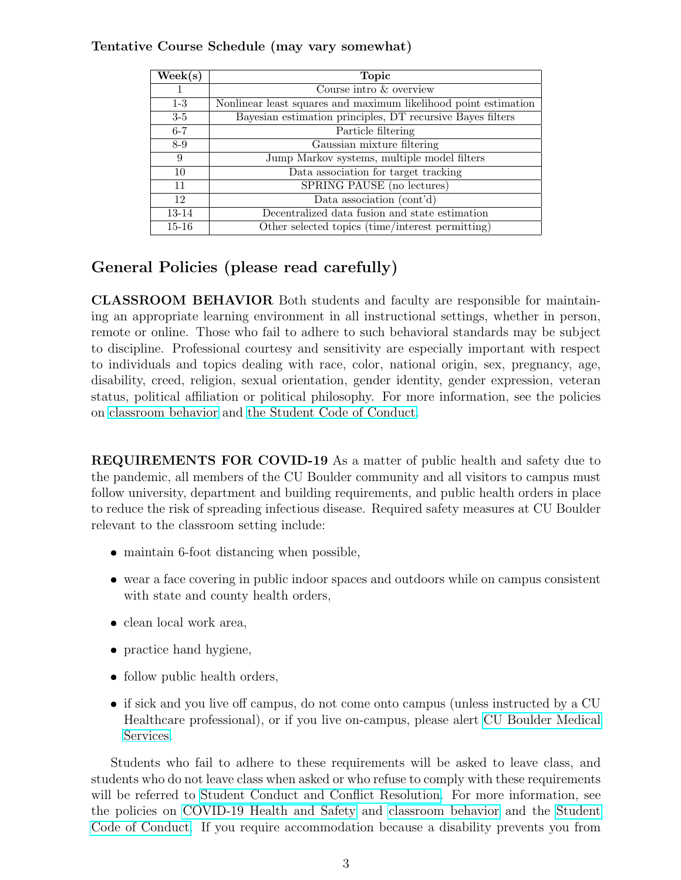#### Tentative Course Schedule (may vary somewhat)

| $\rm{Week}(s)$ | <b>Topic</b>                                                    |
|----------------|-----------------------------------------------------------------|
| $\mathbf{I}$   | Course intro & overview                                         |
| $1-3$          | Nonlinear least squares and maximum likelihood point estimation |
| $3-5$          | Bayesian estimation principles, DT recursive Bayes filters      |
| $6 - 7$        | Particle filtering                                              |
| $8-9$          | Gaussian mixture filtering                                      |
| 9              | Jump Markov systems, multiple model filters                     |
| 10             | Data association for target tracking                            |
| 11             | SPRING PAUSE (no lectures)                                      |
| 12             | Data association (cont'd)                                       |
| 13-14          | Decentralized data fusion and state estimation                  |
| $15 - 16$      | Other selected topics (time/interest permitting)                |

## General Policies (please read carefully)

CLASSROOM BEHAVIOR Both students and faculty are responsible for maintaining an appropriate learning environment in all instructional settings, whether in person, remote or online. Those who fail to adhere to such behavioral standards may be subject to discipline. Professional courtesy and sensitivity are especially important with respect to individuals and topics dealing with race, color, national origin, sex, pregnancy, age, disability, creed, religion, sexual orientation, gender identity, gender expression, veteran status, political affiliation or political philosophy. For more information, see the policies on [classroom behavior](http://www.colorado.edu/policies/student-classroom-and-course-related-behavior) and [the Student Code of Conduct.](https://www.colorado.edu/sccr/sites/default/files/attached-files/2019-2020_student_code_of_conduct_0.pdf)

REQUIREMENTS FOR COVID-19 As a matter of public health and safety due to the pandemic, all members of the CU Boulder community and all visitors to campus must follow university, department and building requirements, and public health orders in place to reduce the risk of spreading infectious disease. Required safety measures at CU Boulder relevant to the classroom setting include:

- maintain 6-foot distancing when possible,
- wear a face covering in public indoor spaces and outdoors while on campus consistent with state and county health orders,
- $\bullet\,$  clean local work area,
- practice hand hygiene,
- follow public health orders,
- if sick and you live off campus, do not come onto campus (unless instructed by a CU Healthcare professional), or if you live on-campus, please alert [CU Boulder Medical](https://www.colorado.edu/healthcenter/coronavirus-updates/symptoms-and-what-do-if-you-feel-sick) [Services.](https://www.colorado.edu/healthcenter/coronavirus-updates/symptoms-and-what-do-if-you-feel-sick)

Students who fail to adhere to these requirements will be asked to leave class, and students who do not leave class when asked or who refuse to comply with these requirements will be referred to [Student Conduct and Conflict Resolution.](https://www.colorado.edu/healthcenter/coronavirus-updates/symptoms-and-what-do-if-you-feel-sick) For more information, see the policies on [COVID-19 Health and Safety](https://www.colorado.edu/policies/covid-19-health-and-safety-policy) and [classroom behavior](https://www.colorado.edu/policies/covid-19-health-and-safety-policy) and the [Student](http://www.colorado.edu/osccr/) [Code of Conduct.](http://www.colorado.edu/osccr/) If you require accommodation because a disability prevents you from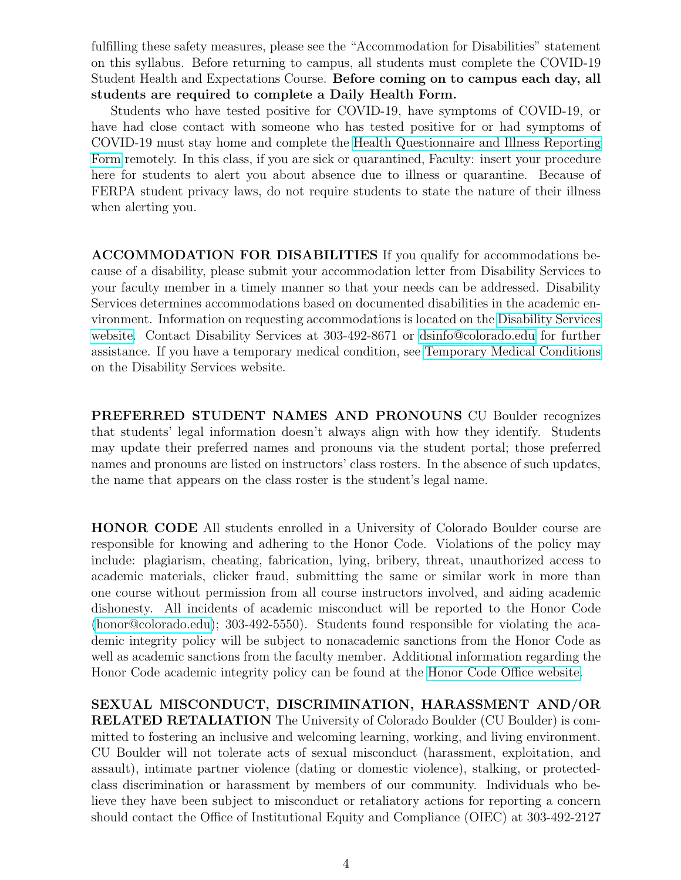fulfilling these safety measures, please see the "Accommodation for Disabilities" statement on this syllabus. Before returning to campus, all students must complete the COVID-19 Student Health and Expectations Course. Before coming on to campus each day, all students are required to complete a Daily Health Form.

Students who have tested positive for COVID-19, have symptoms of COVID-19, or have had close contact with someone who has tested positive for or had symptoms of COVID-19 must stay home and complete the [Health Questionnaire and Illness Reporting](https://www.colorado.edu/protect-our-herd/how#anchor1) [Form](https://www.colorado.edu/protect-our-herd/how#anchor1) remotely. In this class, if you are sick or quarantined, Faculty: insert your procedure here for students to alert you about absence due to illness or quarantine. Because of FERPA student privacy laws, do not require students to state the nature of their illness when alerting you.

ACCOMMODATION FOR DISABILITIES If you qualify for accommodations because of a disability, please submit your accommodation letter from Disability Services to your faculty member in a timely manner so that your needs can be addressed. Disability Services determines accommodations based on documented disabilities in the academic environment. Information on requesting accommodations is located on the [Disability Services](https://www.colorado.edu/disabilityservices/) [website.](https://www.colorado.edu/disabilityservices/) Contact Disability Services at 303-492-8671 or<dsinfo@colorado.edu> for further assistance. If you have a temporary medical condition, see [Temporary Medical Conditions](http://www.colorado.edu/disabilityservices/students/temporary-medical-conditions) on the Disability Services website.

PREFERRED STUDENT NAMES AND PRONOUNS CU Boulder recognizes that students' legal information doesn't always align with how they identify. Students may update their preferred names and pronouns via the student portal; those preferred names and pronouns are listed on instructors' class rosters. In the absence of such updates, the name that appears on the class roster is the student's legal name.

HONOR CODE All students enrolled in a University of Colorado Boulder course are responsible for knowing and adhering to the Honor Code. Violations of the policy may include: plagiarism, cheating, fabrication, lying, bribery, threat, unauthorized access to academic materials, clicker fraud, submitting the same or similar work in more than one course without permission from all course instructors involved, and aiding academic dishonesty. All incidents of academic misconduct will be reported to the Honor Code [\(honor@colorado.edu\)](honor@colorado.edu); 303-492-5550). Students found responsible for violating the academic integrity policy will be subject to nonacademic sanctions from the Honor Code as well as academic sanctions from the faculty member. Additional information regarding the Honor Code academic integrity policy can be found at the [Honor Code Office website.](https://www.colorado.edu/osccr/honor-code)

SEXUAL MISCONDUCT, DISCRIMINATION, HARASSMENT AND/OR RELATED RETALIATION The University of Colorado Boulder (CU Boulder) is committed to fostering an inclusive and welcoming learning, working, and living environment. CU Boulder will not tolerate acts of sexual misconduct (harassment, exploitation, and assault), intimate partner violence (dating or domestic violence), stalking, or protectedclass discrimination or harassment by members of our community. Individuals who believe they have been subject to misconduct or retaliatory actions for reporting a concern should contact the Office of Institutional Equity and Compliance (OIEC) at 303-492-2127